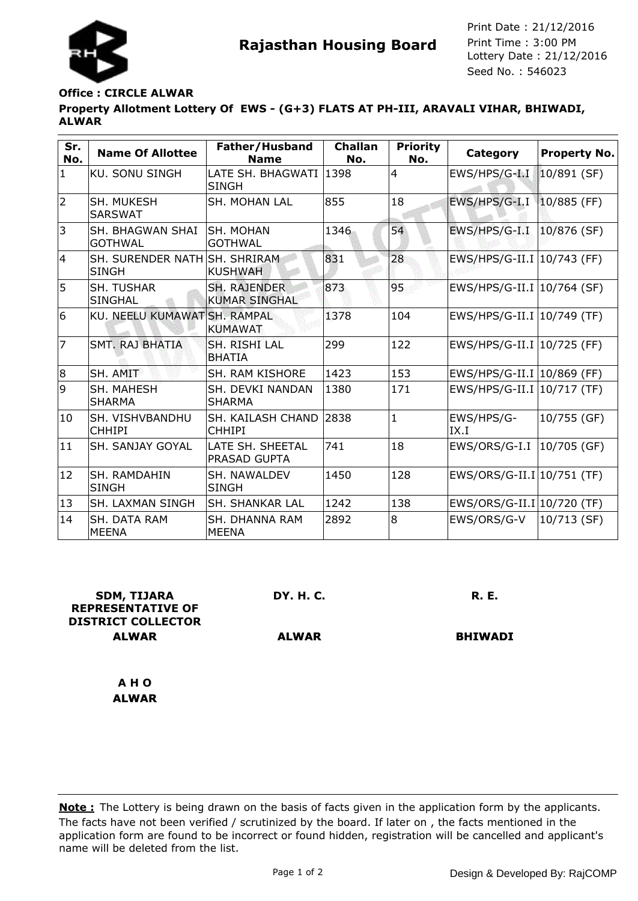

**Rajasthan Housing Board** Print Time : 3:00 PM<br>Lottery Date : 21/12/2016 Seed No. : 546023 Print Date : 21/12/2016 Print Time : 3:00 PM

## **Office : CIRCLE ALWAR**

**Property Allotment Lottery Of EWS - (G+3) FLATS AT PH-III, ARAVALI VIHAR, BHIWADI, ALWAR**

| Sr.<br>No.     | <b>Name Of Allottee</b>                       | Father/Husband<br><b>Name</b>               | <b>Challan</b><br>No. | <b>Priority</b><br>No. | Category                     | <b>Property No.</b> |
|----------------|-----------------------------------------------|---------------------------------------------|-----------------------|------------------------|------------------------------|---------------------|
| $\mathbf{1}$   | <b>KU. SONU SINGH</b>                         | LATE SH. BHAGWATI 1398<br><b>SINGH</b>      |                       | $\overline{4}$         | EWS/HPS/G-I.I                | $10/891$ (SF)       |
| $\overline{2}$ | SH. MUKESH<br><b>SARSWAT</b>                  | <b>SH. MOHAN LAL</b>                        | 855                   | 18                     | EWS/HPS/G-I.I                | $10/885$ (FF)       |
| 3              | SH. BHAGWAN SHAI<br><b>GOTHWAL</b>            | ISH. MOHAN<br> GOTHWAL                      | 1346                  | 54                     | EWS/HPS/G-I.I                | $10/876$ (SF)       |
| 4              | SH. SURENDER NATH SH. SHRIRAM<br><b>SINGH</b> | <b>KUSHWAH</b>                              | 831                   | 28                     | EWS/HPS/G-II.I   10/743 (FF) |                     |
| 5              | <b>SH. TUSHAR</b><br><b>SINGHAL</b>           | <b>SH. RAJENDER</b><br><b>KUMAR SINGHAL</b> | 873                   | 95                     | EWS/HPS/G-II.I   10/764 (SF) |                     |
| 6              | KU. NEELU KUMAWAT SH. RAMPAL                  | <b>KUMAWAT</b>                              | 1378                  | 104                    | EWS/HPS/G-II.I   10/749 (TF) |                     |
| 7              | <b>SMT. RAJ BHATIA</b>                        | SH. RISHI LAL<br><b>BHATIA</b>              | 299                   | 122                    | EWS/HPS/G-II.I   10/725 (FF) |                     |
| 8              | SH. AMIT                                      | <b>SH. RAM KISHORE</b>                      | 1423                  | 153                    | EWS/HPS/G-II.I   10/869 (FF) |                     |
| 9              | <b>SH. MAHESH</b><br><b>SHARMA</b>            | SH. DEVKI NANDAN<br><b>SHARMA</b>           | 1380                  | 171                    | EWS/HPS/G-II.I   10/717 (TF) |                     |
| 10             | SH. VISHVBANDHU<br><b>CHHIPI</b>              | SH. KAILASH CHAND<br><b>CHHIPI</b>          | 2838                  | $\mathbf{1}$           | EWS/HPS/G-<br>IX.I           | 10/755 (GF)         |
| 11             | SH. SANJAY GOYAL                              | LATE SH. SHEETAL<br>PRASAD GUPTA            | 741                   | 18                     | EWS/ORS/G-I.I   10/705 (GF)  |                     |
| 12             | <b>SH. RAMDAHIN</b><br><b>SINGH</b>           | SH. NAWALDEV<br><b>SINGH</b>                | 1450                  | 128                    | EWS/ORS/G-II.I 10/751 (TF)   |                     |
| 13             | SH. LAXMAN SINGH                              | SH. SHANKAR LAL                             | 1242                  | 138                    | EWS/ORS/G-II.I 10/720 (TF)   |                     |
| 14             | SH. DATA RAM<br><b>MEENA</b>                  | <b>SH. DHANNA RAM</b><br><b>MEENA</b>       | 2892                  | 8                      | EWS/ORS/G-V                  | 10/713 (SF)         |

| <b>SDM, TIJARA</b><br><b>REPRESENTATIVE OF</b><br><b>DISTRICT COLLECTOR</b> | <b>DY. H. C.</b> | <b>R. E.</b>   |
|-----------------------------------------------------------------------------|------------------|----------------|
| <b>ALWAR</b>                                                                | <b>ALWAR</b>     | <b>BHIWADI</b> |
| A H O                                                                       |                  |                |
| <b>ALWAR</b>                                                                |                  |                |

The facts have not been verified / scrutinized by the board. If later on , the facts mentioned in the application form are found to be incorrect or found hidden, registration will be cancelled and applicant's name will be deleted from the list. **Note :** The Lottery is being drawn on the basis of facts given in the application form by the applicants.